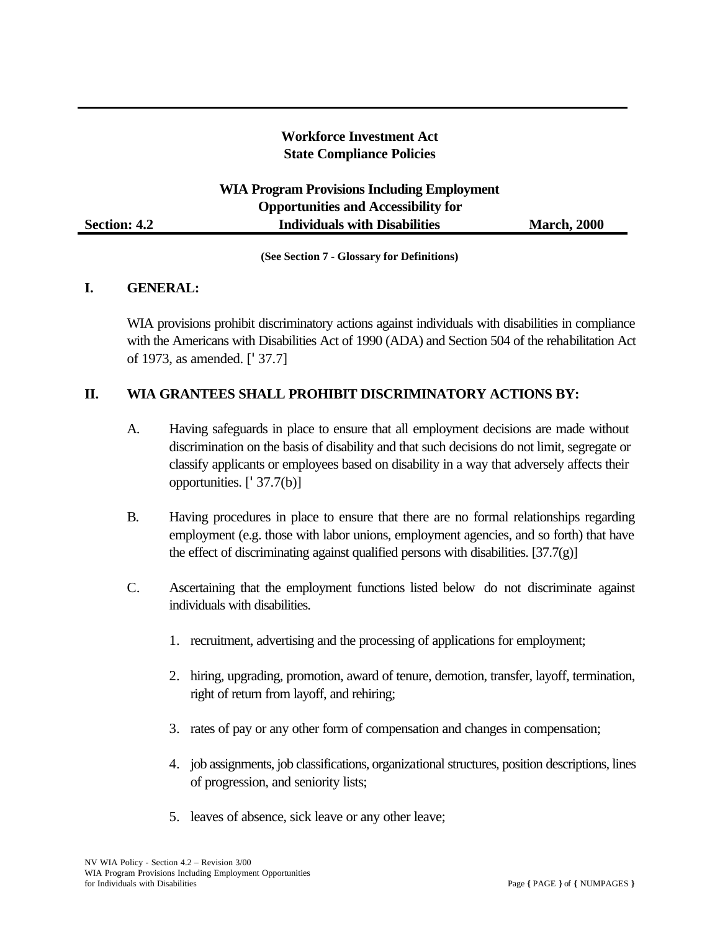# **Workforce Investment Act State Compliance Policies**

# **WIA Program Provisions Including Employment Opportunities and Accessibility for Section: 4.2 Individuals with Disabilities** March, 2000

**(See Section 7 - Glossary for Definitions)** 

#### **I. GENERAL:**

WIA provisions prohibit discriminatory actions against individuals with disabilities in compliance with the Americans with Disabilities Act of 1990 (ADA) and Section 504 of the rehabilitation Act of 1973, as amended. ['37.7]

#### **II. WIA GRANTEES SHALL PROHIBIT DISCRIMINATORY ACTIONS BY:**

- A. Having safeguards in place to ensure that all employment decisions are made without discrimination on the basis of disability and that such decisions do not limit, segregate or classify applicants or employees based on disability in a way that adversely affects their opportunities. ['37.7(b)]
- B. Having procedures in place to ensure that there are no formal relationships regarding employment (e.g. those with labor unions, employment agencies, and so forth) that have the effect of discriminating against qualified persons with disabilities.  $[37.7(g)]$
- C. Ascertaining that the employment functions listed below do not discriminate against individuals with disabilities.
	- 1. recruitment, advertising and the processing of applications for employment;
	- 2. hiring, upgrading, promotion, award of tenure, demotion, transfer, layoff, termination, right of return from layoff, and rehiring;
	- 3. rates of pay or any other form of compensation and changes in compensation;
	- 4. job assignments, job classifications, organizational structures, position descriptions, lines of progression, and seniority lists;
	- 5. leaves of absence, sick leave or any other leave;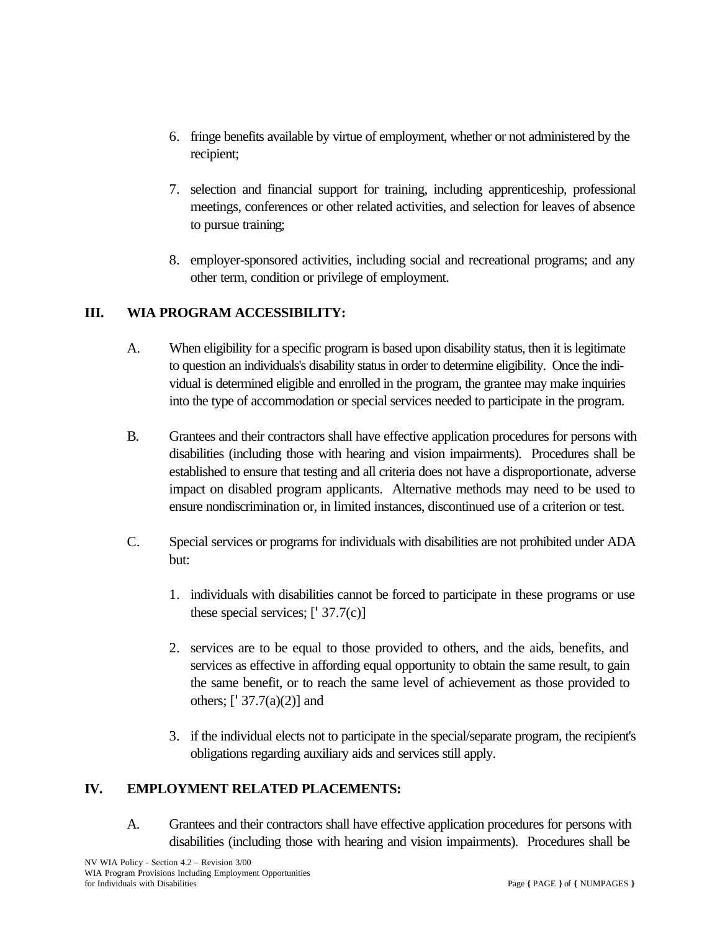- 6. fringe benefits available by virtue of employment, whether or not administered by the recipient;
- 7. selection and financial support for training, including apprenticeship, professional meetings, conferences or other related activities, and selection for leaves of absence to pursue training;
- 8. employer-sponsored activities, including social and recreational programs; and any other term, condition or privilege of employment.

### **III. WIA PROGRAM ACCESSIBILITY:**

- A. When eligibility for a specific program is based upon disability status, then it is legitimate to question an individuals's disability status in order to determine eligibility. Once the individual is determined eligible and enrolled in the program, the grantee may make inquiries into the type of accommodation or special services needed to participate in the program.
- B. Grantees and their contractors shall have effective application procedures for persons with disabilities (including those with hearing and vision impairments). Procedures shall be established to ensure that testing and all criteria does not have a disproportionate, adverse impact on disabled program applicants. Alternative methods may need to be used to ensure nondiscrimination or, in limited instances, discontinued use of a criterion or test.
- C. Special services or programs for individuals with disabilities are not prohibited under ADA but:
	- 1. individuals with disabilities cannot be forced to participate in these programs or use these special services;  $[137.7(c)]$
	- 2. services are to be equal to those provided to others, and the aids, benefits, and services as effective in affording equal opportunity to obtain the same result, to gain the same benefit, or to reach the same level of achievement as those provided to others;  $[1\,37.7(a)(2)]$  and
	- 3. if the individual elects not to participate in the special/separate program, the recipient's obligations regarding auxiliary aids and services still apply.

### **IV. EMPLOYMENT RELATED PLACEMENTS:**

A. Grantees and their contractors shall have effective application procedures for persons with disabilities (including those with hearing and vision impairments). Procedures shall be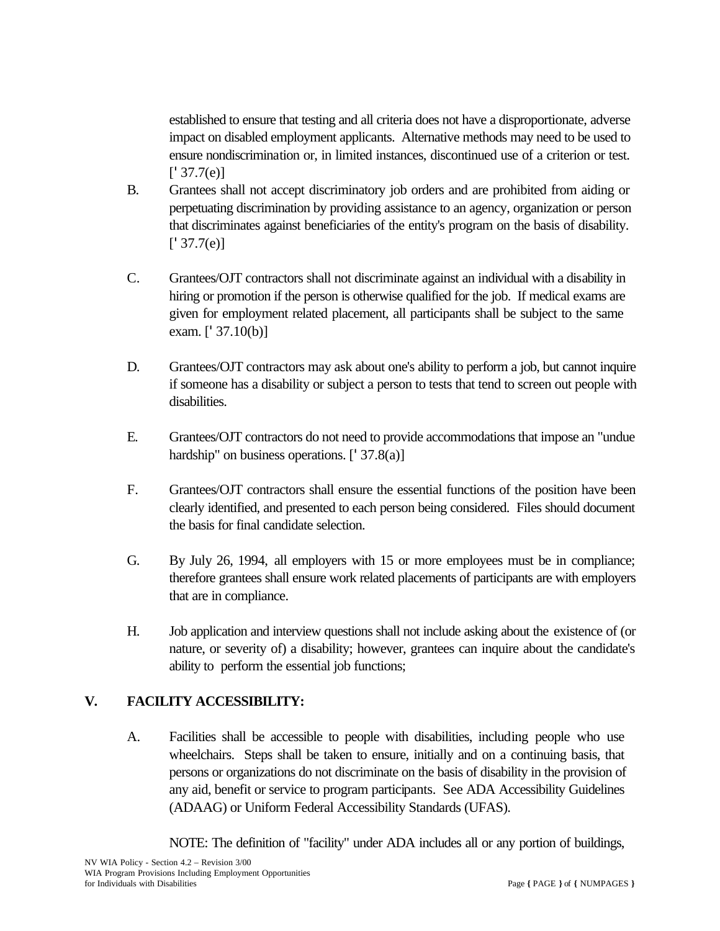established to ensure that testing and all criteria does not have a disproportionate, adverse impact on disabled employment applicants. Alternative methods may need to be used to ensure nondiscrimination or, in limited instances, discontinued use of a criterion or test.  $[$ <sup>'</sup> 37.7(e)]

- B. Grantees shall not accept discriminatory job orders and are prohibited from aiding or perpetuating discrimination by providing assistance to an agency, organization or person that discriminates against beneficiaries of the entity's program on the basis of disability.  $[$ <sup>'</sup> 37.7(e)]
- C. Grantees/OJT contractors shall not discriminate against an individual with a disability in hiring or promotion if the person is otherwise qualified for the job. If medical exams are given for employment related placement, all participants shall be subject to the same exam. [' 37.10(b)]
- D. Grantees/OJT contractors may ask about one's ability to perform a job, but cannot inquire if someone has a disability or subject a person to tests that tend to screen out people with disabilities.
- E. Grantees/OJT contractors do not need to provide accommodations that impose an "undue hardship" on business operations.  $[1, 37.8(a)]$
- F. Grantees/OJT contractors shall ensure the essential functions of the position have been clearly identified, and presented to each person being considered. Files should document the basis for final candidate selection.
- G. By July 26, 1994, all employers with 15 or more employees must be in compliance; therefore grantees shall ensure work related placements of participants are with employers that are in compliance.
- H. Job application and interview questions shall not include asking about the existence of (or nature, or severity of) a disability; however, grantees can inquire about the candidate's ability to perform the essential job functions;

### **V. FACILITY ACCESSIBILITY:**

A. Facilities shall be accessible to people with disabilities, including people who use wheelchairs. Steps shall be taken to ensure, initially and on a continuing basis, that persons or organizations do not discriminate on the basis of disability in the provision of any aid, benefit or service to program participants. See ADA Accessibility Guidelines (ADAAG) or Uniform Federal Accessibility Standards (UFAS).

NOTE: The definition of "facility" under ADA includes all or any portion of buildings,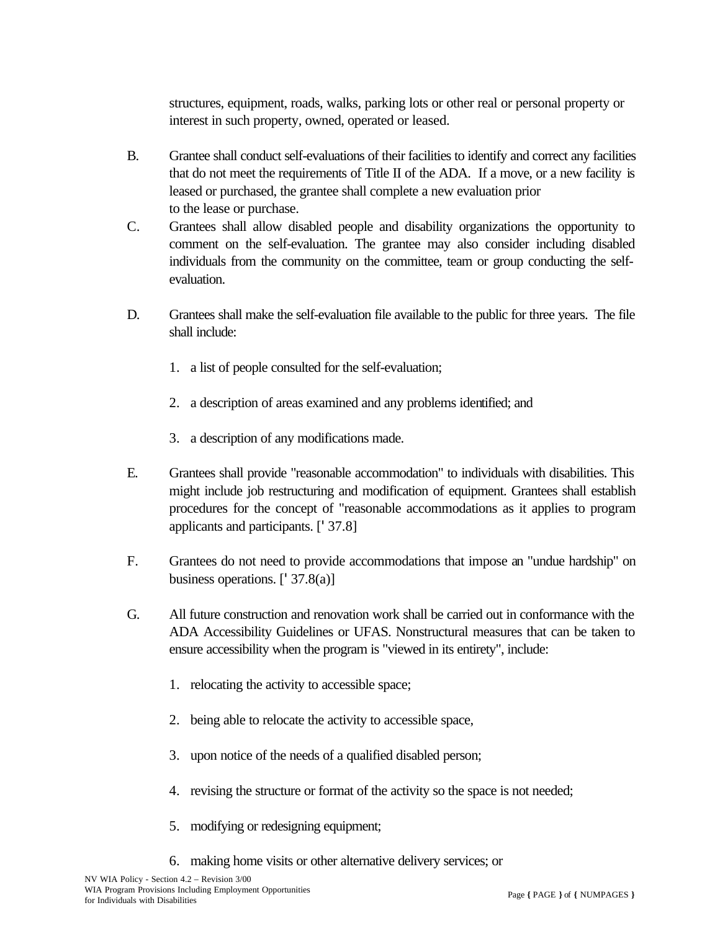structures, equipment, roads, walks, parking lots or other real or personal property or interest in such property, owned, operated or leased.

- B. Grantee shall conduct self-evaluations of their facilities to identify and correct any facilities that do not meet the requirements of Title II of the ADA. If a move, or a new facility is leased or purchased, the grantee shall complete a new evaluation prior to the lease or purchase.
- C. Grantees shall allow disabled people and disability organizations the opportunity to comment on the self-evaluation. The grantee may also consider including disabled individuals from the community on the committee, team or group conducting the selfevaluation.
- D. Grantees shall make the self-evaluation file available to the public for three years. The file shall include:
	- 1. a list of people consulted for the self-evaluation;
	- 2. a description of areas examined and any problems identified; and
	- 3. a description of any modifications made.
- E. Grantees shall provide "reasonable accommodation" to individuals with disabilities. This might include job restructuring and modification of equipment. Grantees shall establish procedures for the concept of "reasonable accommodations as it applies to program applicants and participants. ['37.8]
- F. Grantees do not need to provide accommodations that impose an "undue hardship" on business operations. ['37.8(a)]
- G. All future construction and renovation work shall be carried out in conformance with the ADA Accessibility Guidelines or UFAS. Nonstructural measures that can be taken to ensure accessibility when the program is "viewed in its entirety", include:
	- 1. relocating the activity to accessible space;
	- 2. being able to relocate the activity to accessible space,
	- 3. upon notice of the needs of a qualified disabled person;
	- 4. revising the structure or format of the activity so the space is not needed;
	- 5. modifying or redesigning equipment;
	- 6. making home visits or other alternative delivery services; or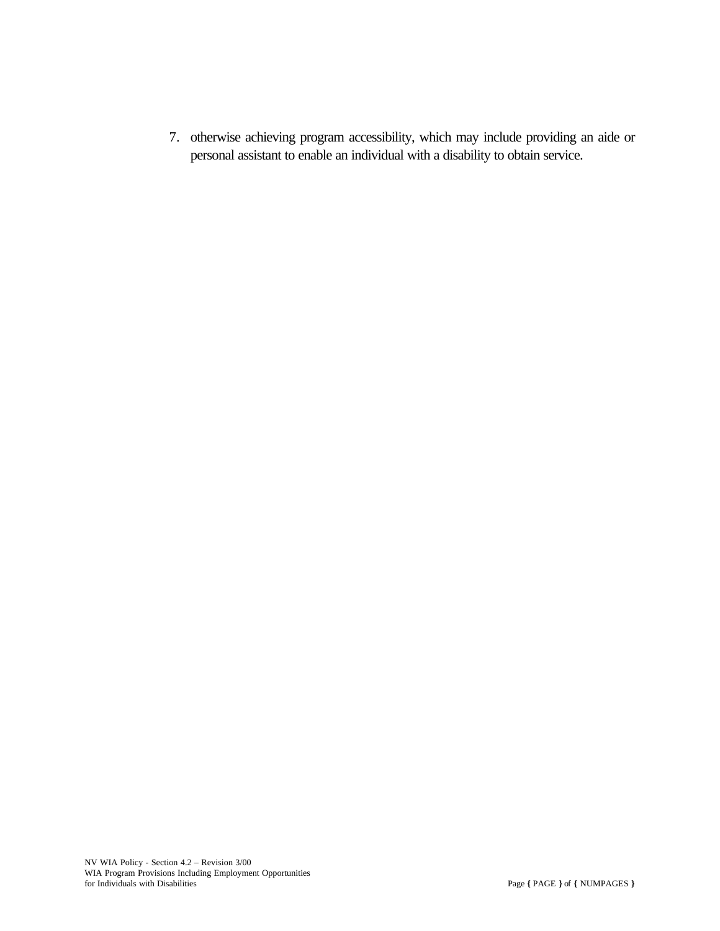7. otherwise achieving program accessibility, which may include providing an aide or personal assistant to enable an individual with a disability to obtain service.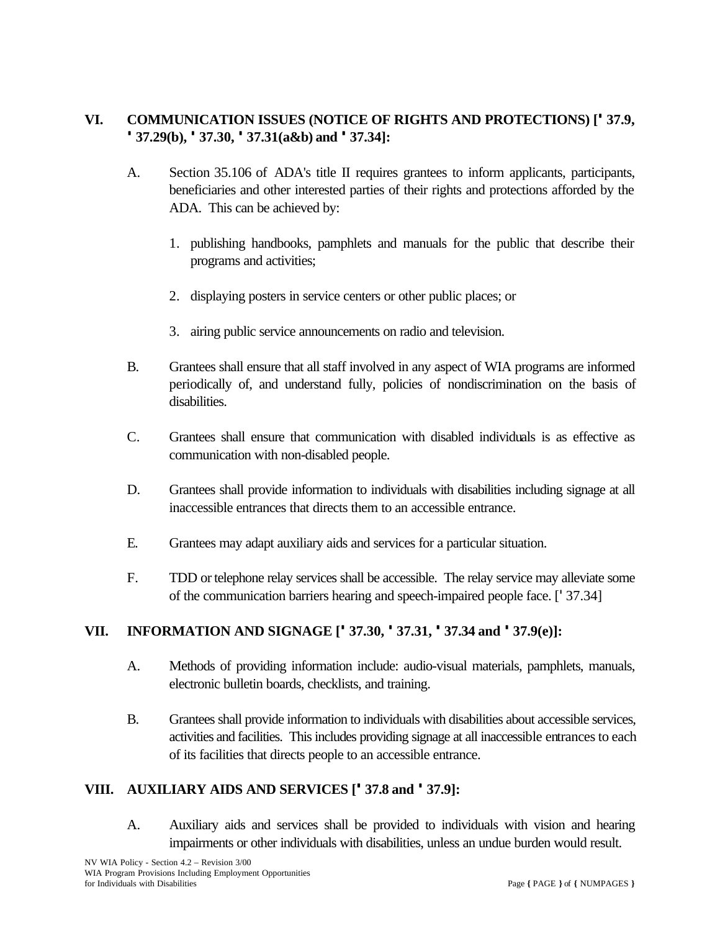# **VI. COMMUNICATION ISSUES (NOTICE OF RIGHTS AND PROTECTIONS) ['37.9, '37.29(b), '37.30, '37.31(a&b) and '37.34]:**

- A. Section 35.106 of ADA's title II requires grantees to inform applicants, participants, beneficiaries and other interested parties of their rights and protections afforded by the ADA. This can be achieved by:
	- 1. publishing handbooks, pamphlets and manuals for the public that describe their programs and activities;
	- 2. displaying posters in service centers or other public places; or
	- 3. airing public service announcements on radio and television.
- B. Grantees shall ensure that all staff involved in any aspect of WIA programs are informed periodically of, and understand fully, policies of nondiscrimination on the basis of disabilities.
- C. Grantees shall ensure that communication with disabled individuals is as effective as communication with non-disabled people.
- D. Grantees shall provide information to individuals with disabilities including signage at all inaccessible entrances that directs them to an accessible entrance.
- E. Grantees may adapt auxiliary aids and services for a particular situation.
- F. TDD or telephone relay services shall be accessible. The relay service may alleviate some of the communication barriers hearing and speech-impaired people face. ['37.34]

### **VII. INFORMATION AND SIGNAGE ['37.30, '37.31, '37.34 and '37.9(e)]:**

- A. Methods of providing information include: audio-visual materials, pamphlets, manuals, electronic bulletin boards, checklists, and training.
- B. Grantees shall provide information to individuals with disabilities about accessible services, activities and facilities. This includes providing signage at all inaccessible entrances to each of its facilities that directs people to an accessible entrance.

### **VIII. AUXILIARY AIDS AND SERVICES ['37.8 and '37.9]:**

A. Auxiliary aids and services shall be provided to individuals with vision and hearing impairments or other individuals with disabilities, unless an undue burden would result.